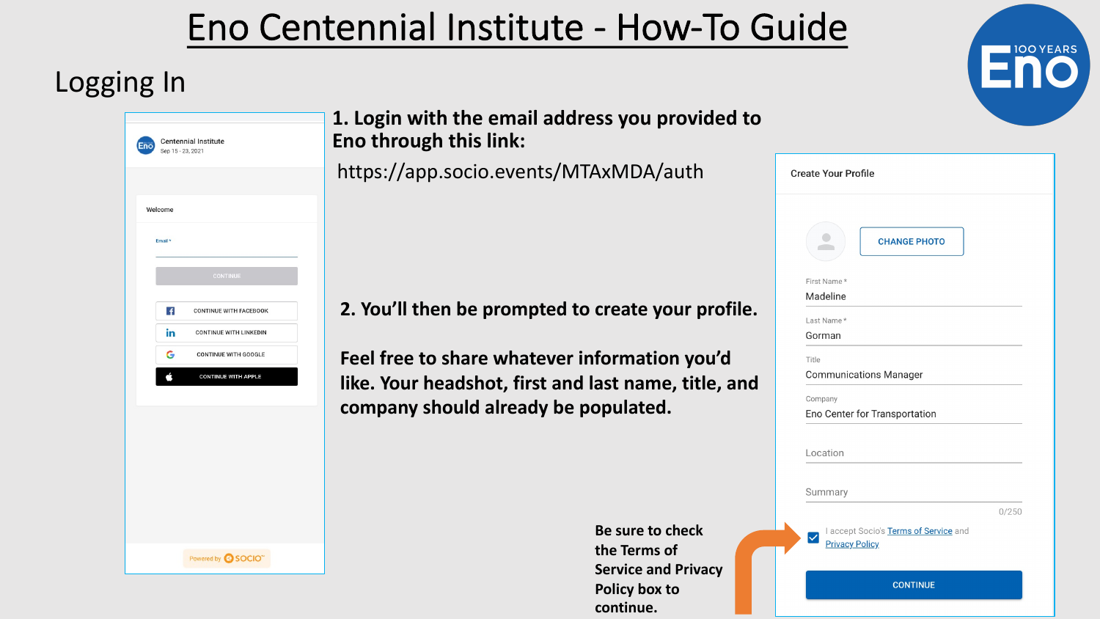# Eno Centennial Institute - How-To Guide

### Logging In



**1. Login with the email address you provided to Eno through this link:**

https://app.socio.events/MTAxMDA/auth

**2. You'll then be prompted to create your profile.** 

**Feel free to share whatever information you'd like. Your headshot, first and last name, title, and company should already be populated.**

> **Be sure to check the Terms of Service and Privacy Policy box to continue.**

| <b>CHANGE PHOTO</b>                                            |       |
|----------------------------------------------------------------|-------|
| First Name*                                                    |       |
| Madeline                                                       |       |
| Last Name*                                                     |       |
| Gorman                                                         |       |
| Title                                                          |       |
| <b>Communications Manager</b>                                  |       |
| Company                                                        |       |
| Eno Center for Transportation                                  |       |
| Location                                                       |       |
| Summary                                                        |       |
| I accept Socio's Terms of Service and<br><b>Privacy Policy</b> | 0/250 |

**100 YEARS**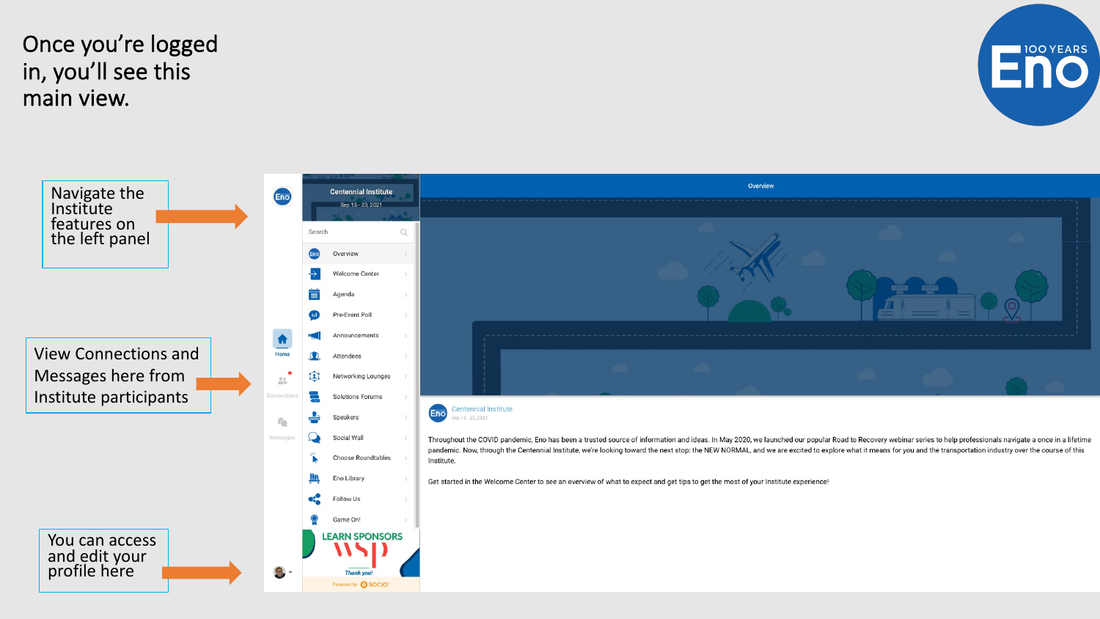Once you're logged in, you'll see this main view.



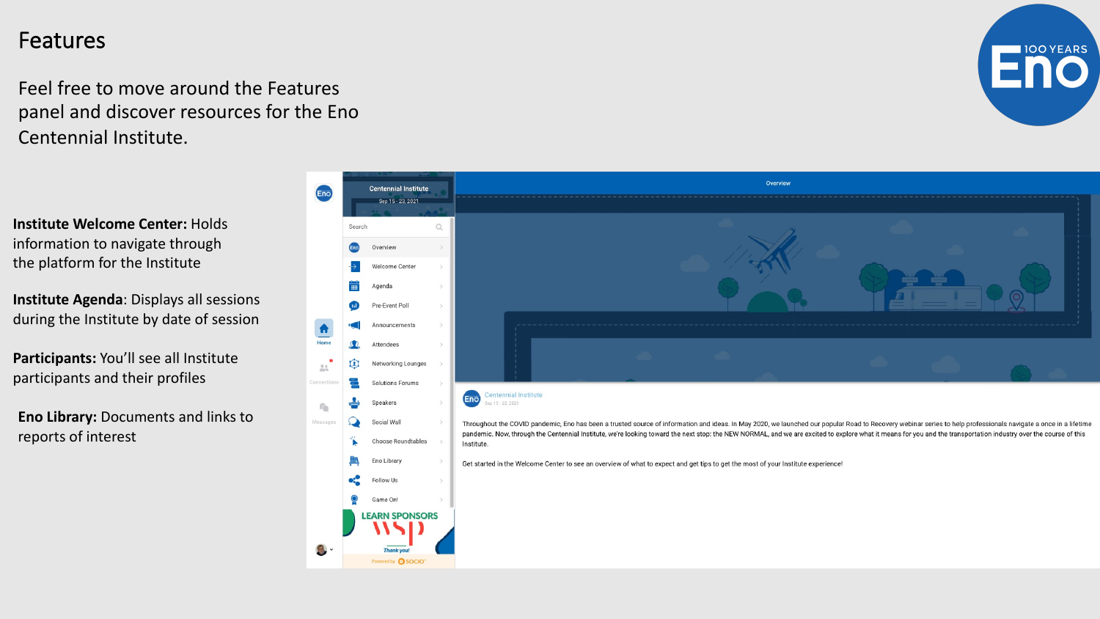#### Features

Feel free to move around the Features panel and discover resources for the Eno Centennial Institute.

**Institute Welcome Center:** Holds information to navigate through the platform for the Institute

**Institute Agenda**: Displays all sessions during the Institute by date of session

**Participants:** You'll see all Institute participants and their profiles

**Eno Library:** Documents and links to reports of interest



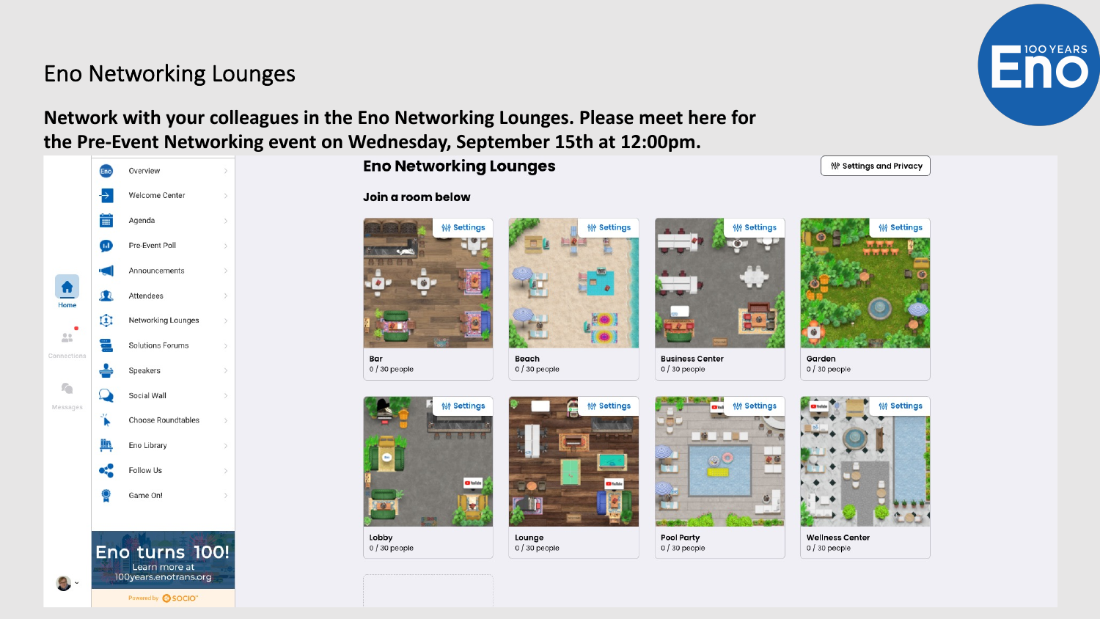### **Eno Networking Lounges**

#### Network with your colleagues in the Eno Networking Lounges. Please meet here for the Pre-Event Networking event on Wednesday, September 15th at 12:00pm.



#### Join a room below

**Eno Networking Lounges** 



Bar  $0/30$  people



Lobby  $0/30$  people



**铅 Settings** 

Lounge  $0/30$  people

Beach

 $0/30$  people



**Business Center** 

**铅 Settings** 

**Pool Party**  $0/30$  people





**Wellness Center**  $0/30$  people



**100 YEARS**